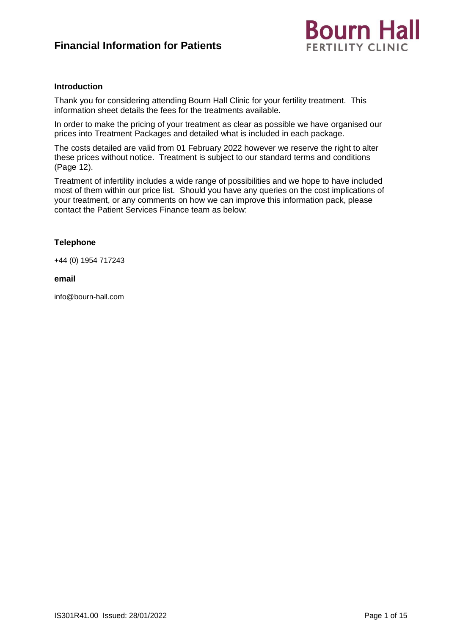# **Financial Information for Patients**



# **Introduction**

Thank you for considering attending Bourn Hall Clinic for your fertility treatment. This information sheet details the fees for the treatments available.

In order to make the pricing of your treatment as clear as possible we have organised our prices into Treatment Packages and detailed what is included in each package.

The costs detailed are valid from 01 February 2022 however we reserve the right to alter these prices without notice. Treatment is subject to our standard terms and conditions (Page 12).

Treatment of infertility includes a wide range of possibilities and we hope to have included most of them within our price list. Should you have any queries on the cost implications of your treatment, or any comments on how we can improve this information pack, please contact the Patient Services Finance team as below:

# **Telephone**

+44 (0) 1954 717243

#### **email**

info@bourn-hall.com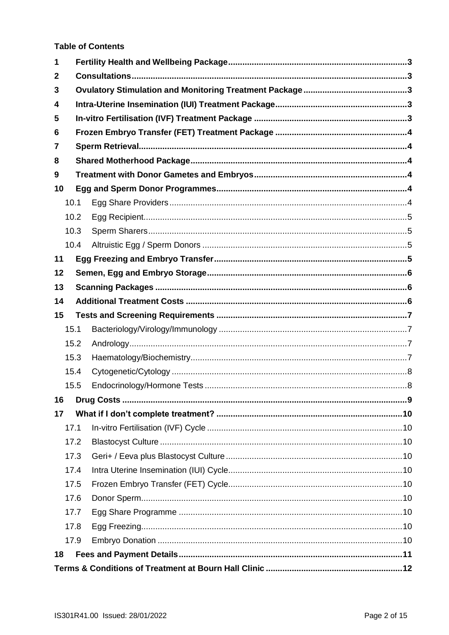**Table of Contents** 

| 1            |      |  |  |  |
|--------------|------|--|--|--|
| $\mathbf{2}$ |      |  |  |  |
| 3            |      |  |  |  |
| 4            |      |  |  |  |
| 5            |      |  |  |  |
| 6            |      |  |  |  |
| 7            |      |  |  |  |
| 8            |      |  |  |  |
| 9            |      |  |  |  |
| 10           |      |  |  |  |
| 10.1         |      |  |  |  |
|              | 10.2 |  |  |  |
|              | 10.3 |  |  |  |
|              | 10.4 |  |  |  |
| 11           |      |  |  |  |
| 12           |      |  |  |  |
| 13           |      |  |  |  |
| 14           |      |  |  |  |
| 15           |      |  |  |  |
| 15.1         |      |  |  |  |
|              | 15.2 |  |  |  |
|              | 15.3 |  |  |  |
|              | 15.4 |  |  |  |
|              | 15.5 |  |  |  |
| 16           |      |  |  |  |
| 17           |      |  |  |  |
| 17.1         |      |  |  |  |
|              | 17.2 |  |  |  |
|              | 17.3 |  |  |  |
|              | 17.4 |  |  |  |
|              | 17.5 |  |  |  |
|              | 17.6 |  |  |  |
|              | 17.7 |  |  |  |
|              | 17.8 |  |  |  |
|              | 17.9 |  |  |  |
| 18           |      |  |  |  |
|              |      |  |  |  |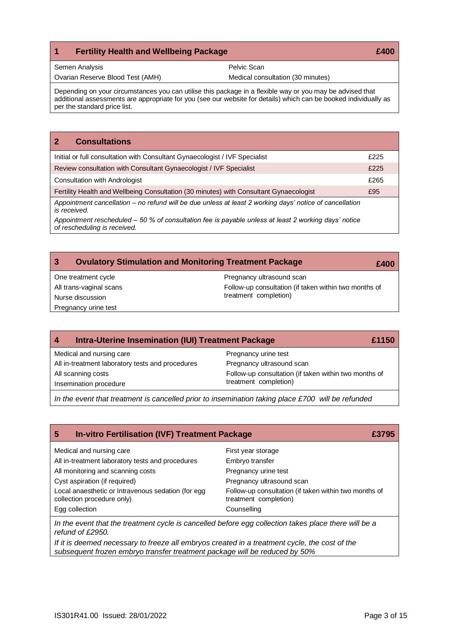# <span id="page-2-0"></span>**1 Fertility Health and Wellbeing Package £400**

| Semen Analysis |  |
|----------------|--|
|                |  |

Pelvic Scan

Ovarian Reserve Blood Test (AMH)

Medical consultation (30 minutes)

Depending on your circumstances you can utilise this package in a flexible way or you may be advised that additional assessments are appropriate for you (see our website for details) which can be booked individually as per the standard price list.

<span id="page-2-1"></span>

| <b>Consultations</b><br>$\mathbf{2}$                                                                                                 |      |  |
|--------------------------------------------------------------------------------------------------------------------------------------|------|--|
| Initial or full consultation with Consultant Gynaecologist / IVF Specialist                                                          | £225 |  |
| Review consultation with Consultant Gynaecologist / IVF Specialist                                                                   | £225 |  |
| <b>Consultation with Andrologist</b>                                                                                                 | £265 |  |
| Fertility Health and Wellbeing Consultation (30 minutes) with Consultant Gynaecologist                                               | £95  |  |
| Appointment cancellation – no refund will be due unless at least 2 working days' notice of cancellation<br>is received.              |      |  |
| Appointment rescheduled – 50 % of consultation fee is payable unless at least 2 working days' notice<br>of rescheduling is received. |      |  |

<span id="page-2-2"></span>

| <b>Ovulatory Stimulation and Monitoring Treatment Package</b><br>$\mathbf{3}$ | £400                                                  |  |
|-------------------------------------------------------------------------------|-------------------------------------------------------|--|
| One treatment cycle                                                           | Pregnancy ultrasound scan                             |  |
| All trans-vaginal scans                                                       | Follow-up consultation (if taken within two months of |  |
| Nurse discussion                                                              | treatment completion)                                 |  |
| Pregnancy urine test                                                          |                                                       |  |

<span id="page-2-3"></span>

| Intra-Uterine Insemination (IUI) Treatment Package<br>4 | £1150                                                 |
|---------------------------------------------------------|-------------------------------------------------------|
| Medical and nursing care                                | Pregnancy urine test                                  |
| All in-treatment laboratory tests and procedures        | Pregnancy ultrasound scan                             |
| All scanning costs                                      | Follow-up consultation (if taken within two months of |
| Insemination procedure                                  | treatment completion)                                 |

*In the event that treatment is cancelled prior to insemination taking place £700 will be refunded*

<span id="page-2-4"></span>

| <b>In-vitro Fertilisation (IVF) Treatment Package</b><br>5                       |                                                                                |
|----------------------------------------------------------------------------------|--------------------------------------------------------------------------------|
| Medical and nursing care                                                         | First year storage                                                             |
| All in-treatment laboratory tests and procedures                                 | Embryo transfer                                                                |
| All monitoring and scanning costs                                                | Pregnancy urine test                                                           |
| Cyst aspiration (if required)                                                    | Pregnancy ultrasound scan                                                      |
| Local anaesthetic or Intravenous sedation (for egg<br>collection procedure only) | Follow-up consultation (if taken within two months of<br>treatment completion) |
| Egg collection                                                                   | Counselling                                                                    |

*In the event that the treatment cycle is cancelled before egg collection takes place there will be a refund of £2950.*

*If it is deemed necessary to freeze all embryos created in a treatment cycle, the cost of the subsequent frozen embryo transfer treatment package will be reduced by 50%*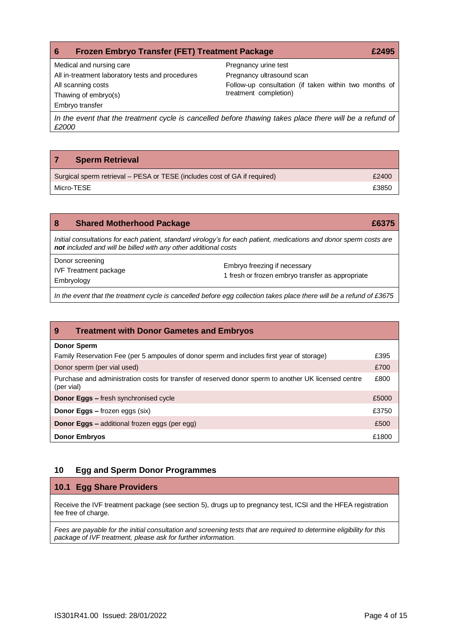<span id="page-3-0"></span>

| <b>Frozen Embryo Transfer (FET) Treatment Package</b><br>6                                                       | £2495                                                 |
|------------------------------------------------------------------------------------------------------------------|-------------------------------------------------------|
| Medical and nursing care                                                                                         | Pregnancy urine test                                  |
| All in-treatment laboratory tests and procedures                                                                 | Pregnancy ultrasound scan                             |
| All scanning costs                                                                                               | Follow-up consultation (if taken within two months of |
| Thawing of embryo(s)                                                                                             | treatment completion)                                 |
| Embryo transfer                                                                                                  |                                                       |
| In the event that the treatment cycle is cancelled before thawing takes place there will be a refund of<br>£2000 |                                                       |

# <span id="page-3-1"></span>**7 Sperm Retrieval**

| Surgical sperm retrieval – PESA or TESE (includes cost of GA if required) | £2400 |
|---------------------------------------------------------------------------|-------|
| Micro-TESE                                                                | £3850 |

<span id="page-3-2"></span>

| 8                                                                                                                                                                                      | <b>Shared Motherhood Package</b>                              | £6375                                                                            |  |
|----------------------------------------------------------------------------------------------------------------------------------------------------------------------------------------|---------------------------------------------------------------|----------------------------------------------------------------------------------|--|
| Initial consultations for each patient, standard virology's for each patient, medications and donor sperm costs are<br>not included and will be billed with any other additional costs |                                                               |                                                                                  |  |
|                                                                                                                                                                                        | Donor screening<br><b>IVF Treatment package</b><br>Embryology | Embryo freezing if necessary<br>1 fresh or frozen embryo transfer as appropriate |  |
| In the event that the treatment cycle is cancelled before egg collection takes place there will be a refund of £3675                                                                   |                                                               |                                                                                  |  |

<span id="page-3-3"></span>

| -9<br><b>Treatment with Donor Gametes and Embryos</b>                                                              |       |
|--------------------------------------------------------------------------------------------------------------------|-------|
| <b>Donor Sperm</b>                                                                                                 |       |
| Family Reservation Fee (per 5 ampoules of donor sperm and includes first year of storage)                          | £395  |
| Donor sperm (per vial used)                                                                                        | £700  |
| Purchase and administration costs for transfer of reserved donor sperm to another UK licensed centre<br>(per vial) | £800  |
| <b>Donor Eggs - fresh synchronised cycle</b>                                                                       | £5000 |
| <b>Donor Eggs - frozen eggs (six)</b>                                                                              | £3750 |
| <b>Donor Eggs - additional frozen eggs (per egg)</b>                                                               | £500  |
| <b>Donor Embryos</b>                                                                                               | £1800 |

# <span id="page-3-4"></span>**10 Egg and Sperm Donor Programmes**

# <span id="page-3-5"></span>**10.1 Egg Share Providers**

Receive the IVF treatment package (see section 5), drugs up to pregnancy test, ICSI and the HFEA registration fee free of charge.

*Fees are payable for the initial consultation and screening tests that are required to determine eligibility for this package of IVF treatment, please ask for further information.*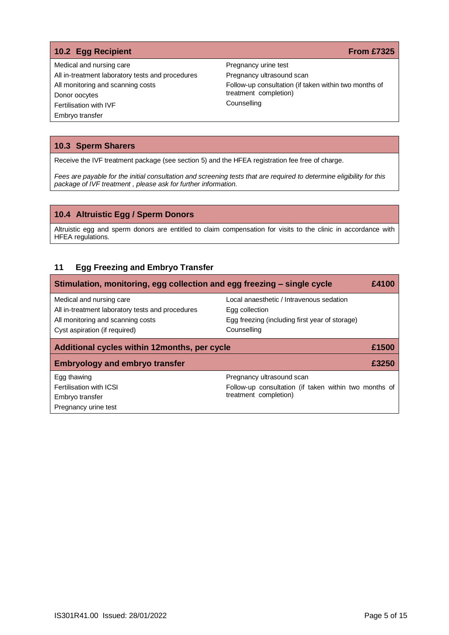# <span id="page-4-0"></span>**10.2 Egg Recipient From £7325**

Medical and nursing care All in-treatment laboratory tests and procedures All monitoring and scanning costs Donor oocytes Fertilisation with IVF Embryo transfer

Pregnancy urine test Pregnancy ultrasound scan Follow-up consultation (if taken within two months of treatment completion) Counselling

### <span id="page-4-1"></span>**10.3 Sperm Sharers**

Receive the IVF treatment package (see section 5) and the HFEA registration fee free of charge.

*Fees are payable for the initial consultation and screening tests that are required to determine eligibility for this package of IVF treatment , please ask for further information.*

# <span id="page-4-2"></span>**10.4 Altruistic Egg / Sperm Donors**

Altruistic egg and sperm donors are entitled to claim compensation for visits to the clinic in accordance with HFEA regulations.

# <span id="page-4-3"></span>**11 Egg Freezing and Embryo Transfer**

| Stimulation, monitoring, egg collection and egg freezing - single cycle<br>£4100 |                                                            |       |  |
|----------------------------------------------------------------------------------|------------------------------------------------------------|-------|--|
| Medical and nursing care<br>All in-treatment laboratory tests and procedures     | Local anaesthetic / Intravenous sedation<br>Egg collection |       |  |
| All monitoring and scanning costs                                                | Egg freezing (including first year of storage)             |       |  |
| Cyst aspiration (if required)                                                    | Counselling                                                |       |  |
| Additional cycles within 12 months, per cycle<br>£1500                           |                                                            |       |  |
|                                                                                  |                                                            |       |  |
| <b>Embryology and embryo transfer</b>                                            |                                                            | £3250 |  |
| Egg thawing                                                                      | Pregnancy ultrasound scan                                  |       |  |
| <b>Fertilisation with ICSI</b>                                                   | Follow-up consultation (if taken within two months of      |       |  |
| Embryo transfer                                                                  | treatment completion)                                      |       |  |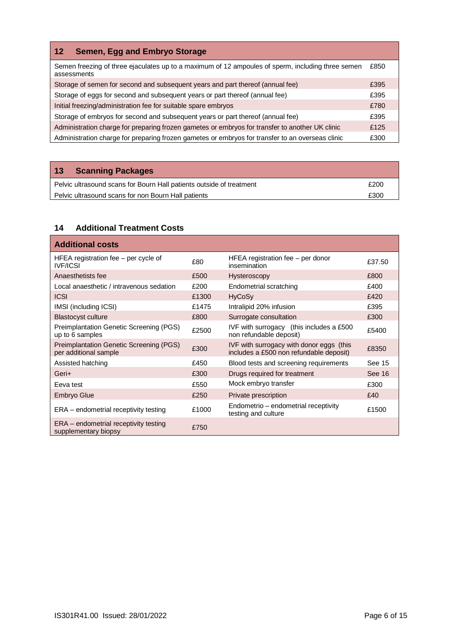<span id="page-5-0"></span>

| <b>Semen, Egg and Embryo Storage</b><br>$12 \overline{ }$                                                        |      |
|------------------------------------------------------------------------------------------------------------------|------|
| Semen freezing of three ejaculates up to a maximum of 12 ampoules of sperm, including three semen<br>assessments | £850 |
| Storage of semen for second and subsequent years and part thereof (annual fee)                                   | £395 |
| Storage of eggs for second and subsequent years or part thereof (annual fee)                                     | £395 |
| Initial freezing/administration fee for suitable spare embryos                                                   | £780 |
| Storage of embryos for second and subsequent years or part thereof (annual fee)                                  | £395 |
| Administration charge for preparing frozen gametes or embryos for transfer to another UK clinic                  | £125 |
| Administration charge for preparing frozen gametes or embryos for transfer to an overseas clinic                 | £300 |

# <span id="page-5-1"></span>**13 Scanning Packages**

| Pelvic ultrasound scans for Bourn Hall patients outside of treatment | £200 |
|----------------------------------------------------------------------|------|
| Pelvic ultrasound scans for non Bourn Hall patients                  | £300 |

# <span id="page-5-2"></span>**14 Additional Treatment Costs**

| <b>Additional costs</b>                                                 |       |                                                                                     |        |
|-------------------------------------------------------------------------|-------|-------------------------------------------------------------------------------------|--------|
| HFEA registration fee - per cycle of<br><b>IVF/ICSI</b>                 | £80   | HFEA registration fee $-$ per donor<br>insemination                                 | £37.50 |
| Anaesthetists fee                                                       | £500  | <b>Hysteroscopy</b>                                                                 | £800   |
| Local anaesthetic / intravenous sedation                                | £200  | Endometrial scratching                                                              | £400   |
| <b>ICSI</b>                                                             | £1300 | <b>HyCoSy</b>                                                                       | £420   |
| IMSI (including ICSI)                                                   | £1475 | Intralipid 20% infusion                                                             | £395   |
| <b>Blastocyst culture</b>                                               | £800  | Surrogate consultation                                                              | £300   |
| Preimplantation Genetic Screening (PGS)<br>up to 6 samples              | £2500 | IVF with surrogacy (this includes a £500<br>non refundable deposit)                 | £5400  |
| <b>Preimplantation Genetic Screening (PGS)</b><br>per additional sample | £300  | IVF with surrogacy with donor eggs (this<br>includes a £500 non refundable deposit) | £8350  |
| Assisted hatching                                                       | £450  | Blood tests and screening requirements                                              | See 15 |
| Geri+                                                                   | £300  | Drugs required for treatment                                                        | See 16 |
| Eeva test                                                               | £550  | Mock embryo transfer                                                                | £300   |
| <b>Embryo Glue</b>                                                      | £250  | Private prescription                                                                | £40    |
| ERA - endometrial receptivity testing                                   | £1000 | Endometrio – endometrial receptivity<br>testing and culture                         | £1500  |
| ERA – endometrial receptivity testing<br>supplementary biopsy           | £750  |                                                                                     |        |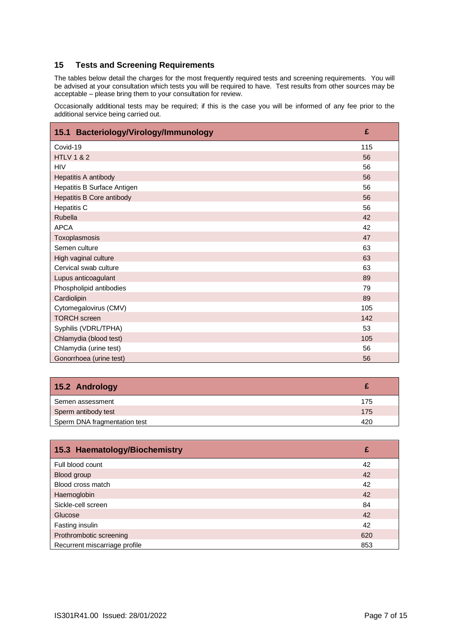# <span id="page-6-0"></span>**15 Tests and Screening Requirements**

The tables below detail the charges for the most frequently required tests and screening requirements. You will be advised at your consultation which tests you will be required to have. Test results from other sources may be acceptable – please bring them to your consultation for review.

Occasionally additional tests may be required; if this is the case you will be informed of any fee prior to the additional service being carried out.

<span id="page-6-1"></span>

| Bacteriology/Virology/Immunology<br>15.1 | £   |
|------------------------------------------|-----|
| Covid-19                                 | 115 |
| <b>HTLV 1 &amp; 2</b>                    | 56  |
| <b>HIV</b>                               | 56  |
| Hepatitis A antibody                     | 56  |
| Hepatitis B Surface Antigen              | 56  |
| <b>Hepatitis B Core antibody</b>         | 56  |
| <b>Hepatitis C</b>                       | 56  |
| Rubella                                  | 42  |
| <b>APCA</b>                              | 42  |
| Toxoplasmosis                            | 47  |
| Semen culture                            | 63  |
| High vaginal culture                     | 63  |
| Cervical swab culture                    | 63  |
| Lupus anticoagulant                      | 89  |
| Phospholipid antibodies                  | 79  |
| Cardiolipin                              | 89  |
| Cytomegalovirus (CMV)                    | 105 |
| <b>TORCH</b> screen                      | 142 |
| Syphilis (VDRL/TPHA)                     | 53  |
| Chlamydia (blood test)                   | 105 |
| Chlamydia (urine test)                   | 56  |
| Gonorrhoea (urine test)                  | 56  |

<span id="page-6-2"></span>

| 15.2 Andrology               |     |
|------------------------------|-----|
| Semen assessment             | 175 |
| Sperm antibody test          | 175 |
| Sperm DNA fragmentation test | 420 |

<span id="page-6-3"></span>

| 15.3 Haematology/Biochemistry | £   |
|-------------------------------|-----|
| Full blood count              | 42  |
| Blood group                   | 42  |
| Blood cross match             | 42  |
| Haemoglobin                   | 42  |
| Sickle-cell screen            | 84  |
| <b>Glucose</b>                | 42  |
| Fasting insulin               | 42  |
| Prothrombotic screening       | 620 |
| Recurrent miscarriage profile | 853 |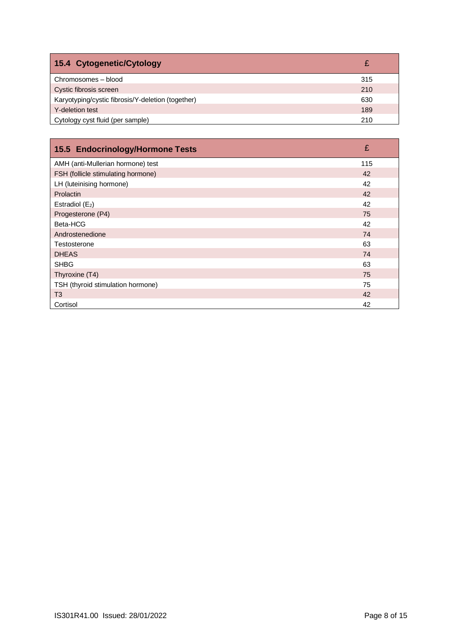<span id="page-7-0"></span>

| 15.4 Cytogenetic/Cytology                         |     |
|---------------------------------------------------|-----|
| Chromosomes - blood                               | 315 |
| Cystic fibrosis screen                            | 210 |
| Karyotyping/cystic fibrosis/Y-deletion (together) | 630 |
| Y-deletion test                                   | 189 |
| Cytology cyst fluid (per sample)                  | 210 |

<span id="page-7-1"></span>

| 15.5 Endocrinology/Hormone Tests   | £   |
|------------------------------------|-----|
| AMH (anti-Mullerian hormone) test  | 115 |
| FSH (follicle stimulating hormone) | 42  |
| LH (luteinising hormone)           | 42  |
| Prolactin                          | 42  |
| Estradiol $(E_2)$                  | 42  |
| Progesterone (P4)                  | 75  |
| Beta-HCG                           | 42  |
| Androstenedione                    | 74  |
| Testosterone                       | 63  |
| <b>DHEAS</b>                       | 74  |
| <b>SHBG</b>                        | 63  |
| Thyroxine (T4)                     | 75  |
| TSH (thyroid stimulation hormone)  | 75  |
| T <sub>3</sub>                     | 42  |
| Cortisol                           | 42  |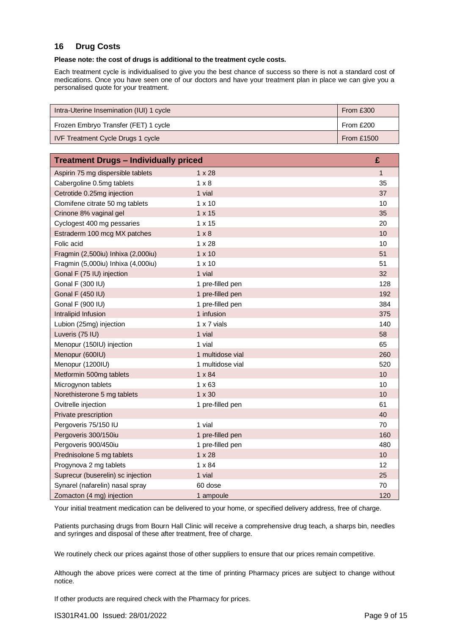# <span id="page-8-0"></span>**16 Drug Costs**

# **Please note: the cost of drugs is additional to the treatment cycle costs.**

Each treatment cycle is individualised to give you the best chance of success so there is not a standard cost of medications. Once you have seen one of our doctors and have your treatment plan in place we can give you a personalised quote for your treatment.

| Intra-Uterine Insemination (IUI) 1 cycle | From £300    |
|------------------------------------------|--------------|
| Frozen Embryo Transfer (FET) 1 cycle     | From £200    |
| <b>IVF Treatment Cycle Drugs 1 cycle</b> | From $£1500$ |

| <b>Treatment Drugs - Individually priced</b> |                  | £            |
|----------------------------------------------|------------------|--------------|
| Aspirin 75 mg dispersible tablets            | $1 \times 28$    | $\mathbf{1}$ |
| Cabergoline 0.5mg tablets                    | $1 \times 8$     | 35           |
| Cetrotide 0.25mg injection                   | 1 vial           | 37           |
| Clomifene citrate 50 mg tablets              | $1 \times 10$    | 10           |
| Crinone 8% vaginal gel                       | $1 \times 15$    | 35           |
| Cyclogest 400 mg pessaries                   | $1 \times 15$    | 20           |
| Estraderm 100 mcg MX patches                 | $1 \times 8$     | 10           |
| Folic acid                                   | $1 \times 28$    | 10           |
| Fragmin (2,500iu) Inhixa (2,000iu)           | $1 \times 10$    | 51           |
| Fragmin (5,000iu) Inhixa (4,000iu)           | $1 \times 10$    | 51           |
| Gonal F (75 IU) injection                    | 1 vial           | 32           |
| Gonal F (300 IU)                             | 1 pre-filled pen | 128          |
| <b>Gonal F (450 IU)</b>                      | 1 pre-filled pen | 192          |
| Gonal F (900 IU)                             | 1 pre-filled pen | 384          |
| Intralipid Infusion                          | 1 infusion       | 375          |
| Lubion (25mg) injection                      | 1 x 7 vials      | 140          |
| Luveris (75 IU)                              | 1 vial           | 58           |
| Menopur (150IU) injection                    | 1 vial           | 65           |
| Menopur (600IU)                              | 1 multidose vial | 260          |
| Menopur (1200IU)                             | 1 multidose vial | 520          |
| Metformin 500mg tablets                      | $1 \times 84$    | 10           |
| Microgynon tablets                           | $1 \times 63$    | 10           |
| Norethisterone 5 mg tablets                  | $1 \times 30$    | 10           |
| Ovitrelle injection                          | 1 pre-filled pen | 61           |
| Private prescription                         |                  | 40           |
| Pergoveris 75/150 IU                         | 1 vial           | 70           |
| Pergoveris 300/150iu                         | 1 pre-filled pen | 160          |
| Pergoveris 900/450iu                         | 1 pre-filled pen | 480          |
| Prednisolone 5 mg tablets                    | $1 \times 28$    | 10           |
| Progynova 2 mg tablets                       | $1 \times 84$    | 12           |
| Suprecur (buserelin) sc injection            | 1 vial           | 25           |
| Synarel (nafarelin) nasal spray              | 60 dose          | 70           |
| Zomacton (4 mg) injection                    | 1 ampoule        | 120          |

Your initial treatment medication can be delivered to your home, or specified delivery address, free of charge.

Patients purchasing drugs from Bourn Hall Clinic will receive a comprehensive drug teach, a sharps bin, needles and syringes and disposal of these after treatment, free of charge.

We routinely check our prices against those of other suppliers to ensure that our prices remain competitive.

Although the above prices were correct at the time of printing Pharmacy prices are subject to change without notice.

If other products are required check with the Pharmacy for prices.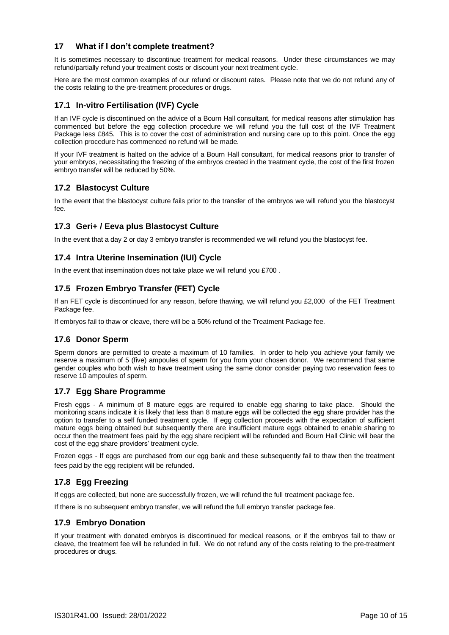# <span id="page-9-0"></span>**17 What if I don't complete treatment?**

It is sometimes necessary to discontinue treatment for medical reasons. Under these circumstances we may refund/partially refund your treatment costs or discount your next treatment cycle.

Here are the most common examples of our refund or discount rates. Please note that we do not refund any of the costs relating to the pre-treatment procedures or drugs.

### <span id="page-9-1"></span>**17.1 In-vitro Fertilisation (IVF) Cycle**

If an IVF cycle is discontinued on the advice of a Bourn Hall consultant, for medical reasons after stimulation has commenced but before the egg collection procedure we will refund you the full cost of the IVF Treatment Package less £845. This is to cover the cost of administration and nursing care up to this point. Once the egg collection procedure has commenced no refund will be made.

If your IVF treatment is halted on the advice of a Bourn Hall consultant, for medical reasons prior to transfer of your embryos, necessitating the freezing of the embryos created in the treatment cycle, the cost of the first frozen embryo transfer will be reduced by 50%.

# <span id="page-9-2"></span>**17.2 Blastocyst Culture**

In the event that the blastocyst culture fails prior to the transfer of the embryos we will refund you the blastocyst fee.

# <span id="page-9-3"></span>**17.3 Geri+ / Eeva plus Blastocyst Culture**

In the event that a day 2 or day 3 embryo transfer is recommended we will refund you the blastocyst fee.

# <span id="page-9-4"></span>**17.4 Intra Uterine Insemination (IUI) Cycle**

In the event that insemination does not take place we will refund you £700 .

# <span id="page-9-5"></span>**17.5 Frozen Embryo Transfer (FET) Cycle**

If an FET cycle is discontinued for any reason, before thawing, we will refund you £2,000 of the FET Treatment Package fee.

If embryos fail to thaw or cleave, there will be a 50% refund of the Treatment Package fee.

### <span id="page-9-6"></span>**17.6 Donor Sperm**

Sperm donors are permitted to create a maximum of 10 families. In order to help you achieve your family we reserve a maximum of 5 (five) ampoules of sperm for you from your chosen donor. We recommend that same gender couples who both wish to have treatment using the same donor consider paying two reservation fees to reserve 10 ampoules of sperm.

### <span id="page-9-7"></span>**17.7 Egg Share Programme**

Fresh eggs - A minimum of 8 mature eggs are required to enable egg sharing to take place. Should the monitoring scans indicate it is likely that less than 8 mature eggs will be collected the egg share provider has the option to transfer to a self funded treatment cycle. If egg collection proceeds with the expectation of sufficient mature eggs being obtained but subsequently there are insufficient mature eggs obtained to enable sharing to occur then the treatment fees paid by the egg share recipient will be refunded and Bourn Hall Clinic will bear the cost of the egg share providers' treatment cycle.

Frozen eggs - If eggs are purchased from our egg bank and these subsequently fail to thaw then the treatment fees paid by the egg recipient will be refunded.

### <span id="page-9-8"></span>**17.8 Egg Freezing**

If eggs are collected, but none are successfully frozen, we will refund the full treatment package fee.

If there is no subsequent embryo transfer, we will refund the full embryo transfer package fee.

### <span id="page-9-9"></span>**17.9 Embryo Donation**

If your treatment with donated embryos is discontinued for medical reasons, or if the embryos fail to thaw or cleave, the treatment fee will be refunded in full. We do not refund any of the costs relating to the pre-treatment procedures or drugs.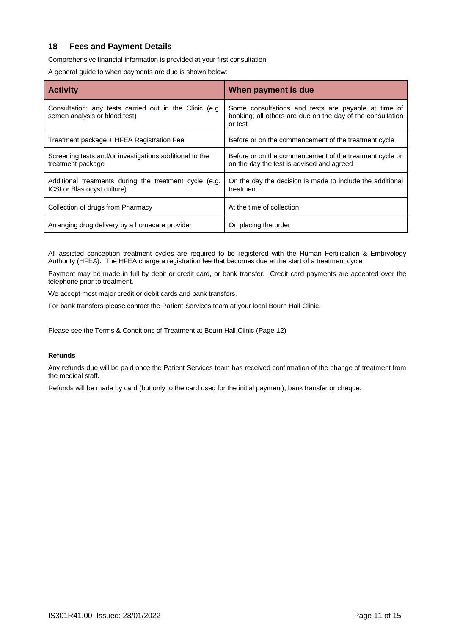# <span id="page-10-0"></span>**18 Fees and Payment Details**

Comprehensive financial information is provided at your first consultation.

A general guide to when payments are due is shown below:

| <b>Activity</b>                                                                          | When payment is due                                                                                                          |
|------------------------------------------------------------------------------------------|------------------------------------------------------------------------------------------------------------------------------|
| Consultation; any tests carried out in the Clinic (e.g.<br>semen analysis or blood test) | Some consultations and tests are payable at time of<br>booking; all others are due on the day of the consultation<br>or test |
| Treatment package + HFEA Registration Fee                                                | Before or on the commencement of the treatment cycle                                                                         |
| Screening tests and/or investigations additional to the<br>treatment package             | Before or on the commencement of the treatment cycle or<br>on the day the test is advised and agreed                         |
| Additional treatments during the treatment cycle (e.g.<br>ICSI or Blastocyst culture)    | On the day the decision is made to include the additional<br>treatment                                                       |
| Collection of drugs from Pharmacy                                                        | At the time of collection                                                                                                    |
| Arranging drug delivery by a homecare provider                                           | On placing the order                                                                                                         |

All assisted conception treatment cycles are required to be registered with the Human Fertilisation & Embryology Authority (HFEA). The HFEA charge a registration fee that becomes due at the start of a treatment cycle.

Payment may be made in full by debit or credit card, or bank transfer. Credit card payments are accepted over the telephone prior to treatment.

We accept most major credit or debit cards and bank transfers.

For bank transfers please contact the Patient Services team at your local Bourn Hall Clinic.

Please see the Terms & Conditions of Treatment at Bourn Hall Clinic (Page 12)

#### **Refunds**

Any refunds due will be paid once the Patient Services team has received confirmation of the change of treatment from the medical staff.

Refunds will be made by card (but only to the card used for the initial payment), bank transfer or cheque.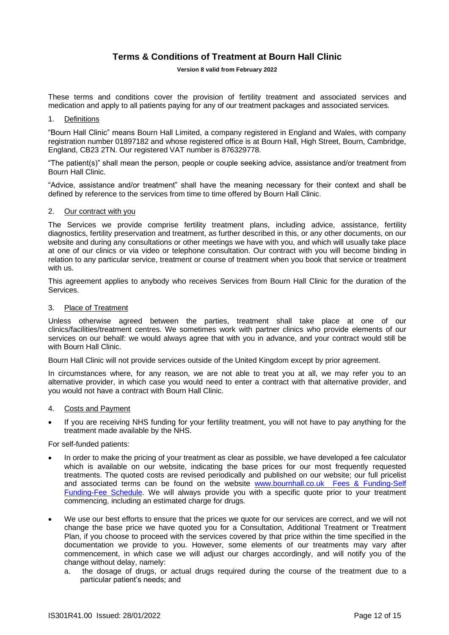# **Terms & Conditions of Treatment at Bourn Hall Clinic**

#### **Version 8 valid from February 2022**

<span id="page-11-0"></span>These terms and conditions cover the provision of fertility treatment and associated services and medication and apply to all patients paying for any of our treatment packages and associated services.

#### 1. Definitions

"Bourn Hall Clinic" means Bourn Hall Limited, a company registered in England and Wales, with company registration number 01897182 and whose registered office is at Bourn Hall, High Street, Bourn, Cambridge, England, CB23 2TN. Our registered VAT number is 876329778.

"The patient(s)" shall mean the person, people or couple seeking advice, assistance and/or treatment from Bourn Hall Clinic.

"Advice, assistance and/or treatment" shall have the meaning necessary for their context and shall be defined by reference to the services from time to time offered by Bourn Hall Clinic.

#### 2. Our contract with you

The Services we provide comprise fertility treatment plans, including advice, assistance, fertility diagnostics, fertility preservation and treatment, as further described in this, or any other documents, on our website and during any consultations or other meetings we have with you, and which will usually take place at one of our clinics or via video or telephone consultation. Our contract with you will become binding in relation to any particular service, treatment or course of treatment when you book that service or treatment with us.

This agreement applies to anybody who receives Services from Bourn Hall Clinic for the duration of the Services.

#### 3. Place of Treatment

Unless otherwise agreed between the parties, treatment shall take place at one of our clinics/facilities/treatment centres. We sometimes work with partner clinics who provide elements of our services on our behalf: we would always agree that with you in advance, and your contract would still be with Bourn Hall Clinic.

Bourn Hall Clinic will not provide services outside of the United Kingdom except by prior agreement.

In circumstances where, for any reason, we are not able to treat you at all, we may refer you to an alternative provider, in which case you would need to enter a contract with that alternative provider, and you would not have a contract with Bourn Hall Clinic.

#### 4. Costs and Payment

If you are receiving NHS funding for your fertility treatment, you will not have to pay anything for the treatment made available by the NHS.

For self-funded patients:

- In order to make the pricing of your treatment as clear as possible, we have developed a [fee calculator](https://www.bournhall.co.uk/fees-funding/fee-calculator/) which is available on our website, indicating the base prices for our most frequently requested treatments. The quoted costs are revised periodically and published on our website; our full pricelist and associated terms can be found on the website www.bournhall.co.uk Fees & Funding-Self [Funding-Fee Schedule.](https://www.bournhall.co.uk/fees-funding/self-funding/) We will always provide you with a specific quote prior to your treatment commencing, including an estimated charge for drugs.
- We use our best efforts to ensure that the prices we quote for our services are correct, and we will not change the base price we have quoted you for a Consultation, Additional Treatment or Treatment Plan, if you choose to proceed with the services covered by that price within the time specified in the documentation we provide to you. However, some elements of our treatments may vary after commencement, in which case we will adjust our charges accordingly, and will notify you of the change without delay, namely:
	- a. the dosage of drugs, or actual drugs required during the course of the treatment due to a particular patient's needs; and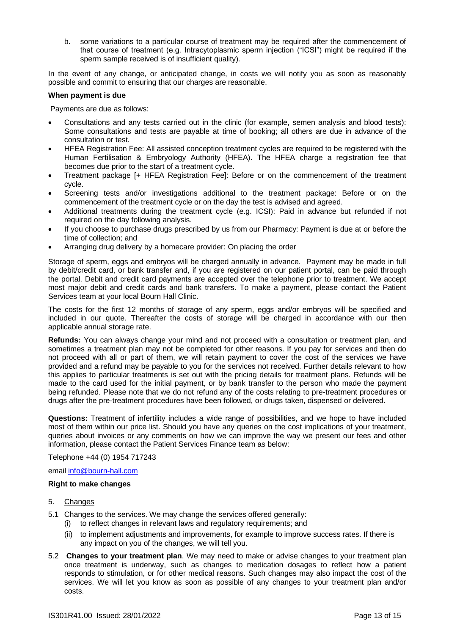b. some variations to a particular course of treatment may be required after the commencement of that course of treatment (e.g. Intracytoplasmic sperm injection ("ICSI") might be required if the sperm sample received is of insufficient quality).

In the event of any change, or anticipated change, in costs we will notify you as soon as reasonably possible and commit to ensuring that our charges are reasonable.

#### **When payment is due**

Payments are due as follows:

- Consultations and any tests carried out in the clinic (for example, semen analysis and blood tests): Some consultations and tests are payable at time of booking; all others are due in advance of the consultation or test.
- HFEA Registration Fee: All assisted conception treatment cycles are required to be registered with the Human Fertilisation & Embryology Authority (HFEA). The HFEA charge a registration fee that becomes due prior to the start of a treatment cycle.
- Treatment package [+ HFEA Registration Fee]: Before or on the commencement of the treatment cycle.
- Screening tests and/or investigations additional to the treatment package: Before or on the commencement of the treatment cycle or on the day the test is advised and agreed.
- Additional treatments during the treatment cycle (e.g. ICSI): Paid in advance but refunded if not required on the day following analysis.
- If you choose to purchase drugs prescribed by us from our Pharmacy: Payment is due at or before the time of collection; and
- Arranging drug delivery by a homecare provider: On placing the order

Storage of sperm, eggs and embryos will be charged annually in advance. Payment may be made in full by debit/credit card, or bank transfer and, if you are registered on our patient portal, can be paid through the portal. Debit and credit card payments are accepted over the telephone prior to treatment. We accept most major debit and credit cards and bank transfers. To make a payment, please contact the Patient Services team at your local Bourn Hall Clinic.

The costs for the first 12 months of storage of any sperm, eggs and/or embryos will be specified and included in our quote. Thereafter the costs of storage will be charged in accordance with our then applicable annual storage rate.

**Refunds:** You can always change your mind and not proceed with a consultation or treatment plan, and sometimes a treatment plan may not be completed for other reasons. If you pay for services and then do not proceed with all or part of them, we will retain payment to cover the cost of the services we have provided and a refund may be payable to you for the services not received. Further details relevant to how this applies to particular treatments is set out with the pricing details for treatment plans. Refunds will be made to the card used for the initial payment, or by bank transfer to the person who made the payment being refunded. Please note that we do not refund any of the costs relating to pre-treatment procedures or drugs after the pre-treatment procedures have been followed, or drugs taken, dispensed or delivered.

**Questions:** Treatment of infertility includes a wide range of possibilities, and we hope to have included most of them within our price list. Should you have any queries on the cost implications of your treatment, queries about invoices or any comments on how we can improve the way we present our fees and other information, please contact the Patient Services Finance team as below:

Telephone +44 (0) 1954 717243

email [info@bourn-hall.com](mailto:info@bourn-hall.com)

#### **Right to make changes**

- 5. Changes
- 5.1 Changes to the services. We may change the services offered generally:
	- (i) to reflect changes in relevant laws and regulatory requirements; and
		- (ii) to implement adjustments and improvements, for example to improve success rates. If there is any impact on you of the changes, we will tell you.
- 5.2 **Changes to your treatment plan**. We may need to make or advise changes to your treatment plan once treatment is underway, such as changes to medication dosages to reflect how a patient responds to stimulation, or for other medical reasons. Such changes may also impact the cost of the services. We will let you know as soon as possible of any changes to your treatment plan and/or costs.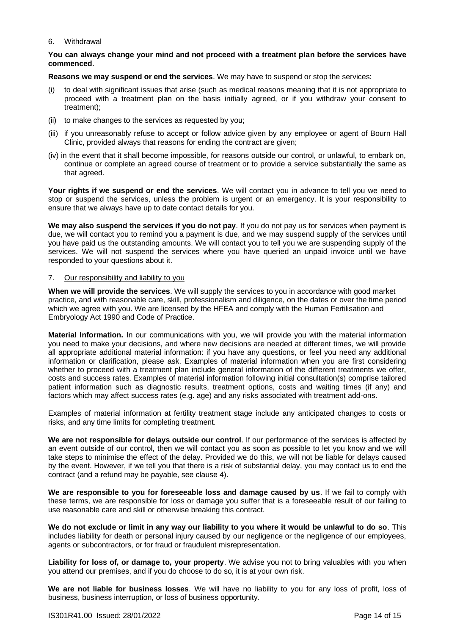#### 6. Withdrawal

#### **You can always change your mind and not proceed with a treatment plan before the services have commenced**.

**Reasons we may suspend or end the services**. We may have to suspend or stop the services:

- (i) to deal with significant issues that arise (such as medical reasons meaning that it is not appropriate to proceed with a treatment plan on the basis initially agreed, or if you withdraw your consent to treatment);
- (ii) to make changes to the services as requested by you;
- (iii) if you unreasonably refuse to accept or follow advice given by any employee or agent of Bourn Hall Clinic, provided always that reasons for ending the contract are given;
- (iv) in the event that it shall become impossible, for reasons outside our control, or unlawful, to embark on, continue or complete an agreed course of treatment or to provide a service substantially the same as that agreed.

**Your rights if we suspend or end the services**. We will contact you in advance to tell you we need to stop or suspend the services, unless the problem is urgent or an emergency. It is your responsibility to ensure that we always have up to date contact details for you.

**We may also suspend the services if you do not pay**. If you do not pay us for services when payment is due, we will contact you to remind you a payment is due, and we may suspend supply of the services until you have paid us the outstanding amounts. We will contact you to tell you we are suspending supply of the services. We will not suspend the services where you have queried an unpaid invoice until we have responded to your questions about it.

#### 7. Our responsibility and liability to you

**When we will provide the services**. We will supply the services to you in accordance with good market practice, and with reasonable care, skill, professionalism and diligence, on the dates or over the time period which we agree with you. We are licensed by the HFEA and comply with the Human Fertilisation and Embryology Act 1990 and Code of Practice.

**Material Information.** In our communications with you, we will provide you with the material information you need to make your decisions, and where new decisions are needed at different times, we will provide all appropriate additional material information: if you have any questions, or feel you need any additional information or clarification, please ask. Examples of material information when you are first considering whether to proceed with a treatment plan include general information of the different treatments we offer, costs and success rates. Examples of material information following initial consultation(s) comprise tailored patient information such as diagnostic results, treatment options, costs and waiting times (if any) and factors which may affect success rates (e.g. age) and any risks associated with treatment add-ons.

Examples of material information at fertility treatment stage include any anticipated changes to costs or risks, and any time limits for completing treatment.

**We are not responsible for delays outside our control**. If our performance of the services is affected by an event outside of our control, then we will contact you as soon as possible to let you know and we will take steps to minimise the effect of the delay. Provided we do this, we will not be liable for delays caused by the event. However, if we tell you that there is a risk of substantial delay, you may contact us to end the contract (and a refund may be payable, see clause 4).

**We are responsible to you for foreseeable loss and damage caused by us**. If we fail to comply with these terms, we are responsible for loss or damage you suffer that is a foreseeable result of our failing to use reasonable care and skill or otherwise breaking this contract.

**We do not exclude or limit in any way our liability to you where it would be unlawful to do so**. This includes liability for death or personal injury caused by our negligence or the negligence of our employees, agents or subcontractors, or for fraud or fraudulent misrepresentation.

**Liability for loss of, or damage to, your property**. We advise you not to bring valuables with you when you attend our premises, and if you do choose to do so, it is at your own risk.

**We are not liable for business losses**. We will have no liability to you for any loss of profit, loss of business, business interruption, or loss of business opportunity.